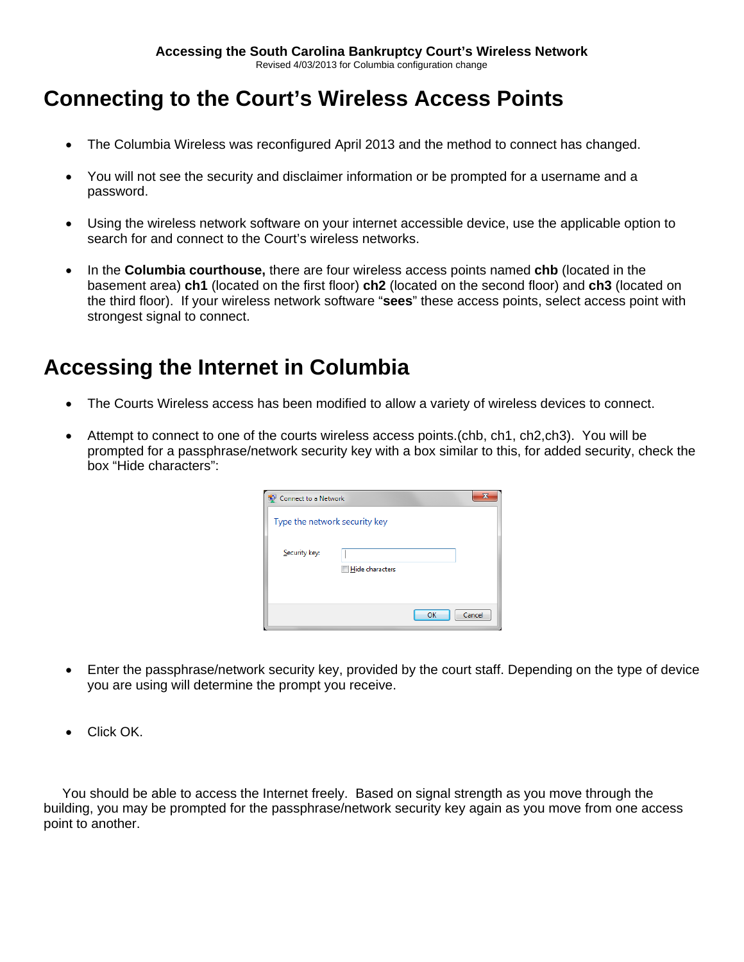#### **Connecting to the Court's Wireless Access Points**

- The Columbia Wireless was reconfigured April 2013 and the method to connect has changed.
- You will not see the security and disclaimer information or be prompted for a username and a password.
- Using the wireless network software on your internet accessible device, use the applicable option to search for and connect to the Court's wireless networks.
- In the **Columbia courthouse,** there are four wireless access points named **chb** (located in the basement area) **ch1** (located on the first floor) **ch2** (located on the second floor) and **ch3** (located on the third floor). If your wireless network software "**sees**" these access points, select access point with strongest signal to connect.

### **Accessing the Internet in Columbia**

- The Courts Wireless access has been modified to allow a variety of wireless devices to connect.
- Attempt to connect to one of the courts wireless access points.(chb, ch1, ch2,ch3). You will be prompted for a passphrase/network security key with a box similar to this, for added security, check the box "Hide characters":

| Connect to a Network          |                        |    |        |
|-------------------------------|------------------------|----|--------|
| Type the network security key |                        |    |        |
| Security key:                 |                        |    |        |
|                               | <b>Hide characters</b> |    |        |
|                               |                        | OK | Cancel |

- Enter the passphrase/network security key, provided by the court staff. Depending on the type of device you are using will determine the prompt you receive.
- Click OK.

 You should be able to access the Internet freely. Based on signal strength as you move through the building, you may be prompted for the passphrase/network security key again as you move from one access point to another.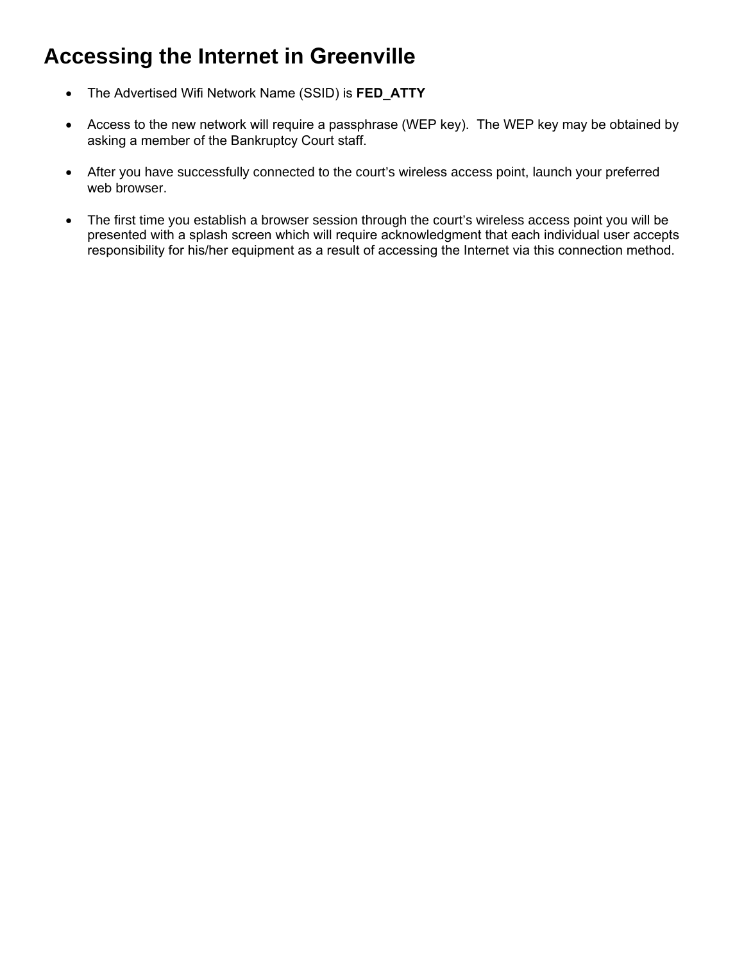# **Accessing the Internet in Greenville**

- The Advertised Wifi Network Name (SSID) is **FED\_ATTY**
- Access to the new network will require a passphrase (WEP key). The WEP key may be obtained by asking a member of the Bankruptcy Court staff.
- After you have successfully connected to the court's wireless access point, launch your preferred web browser.
- The first time you establish a browser session through the court's wireless access point you will be presented with a splash screen which will require acknowledgment that each individual user accepts responsibility for his/her equipment as a result of accessing the Internet via this connection method.